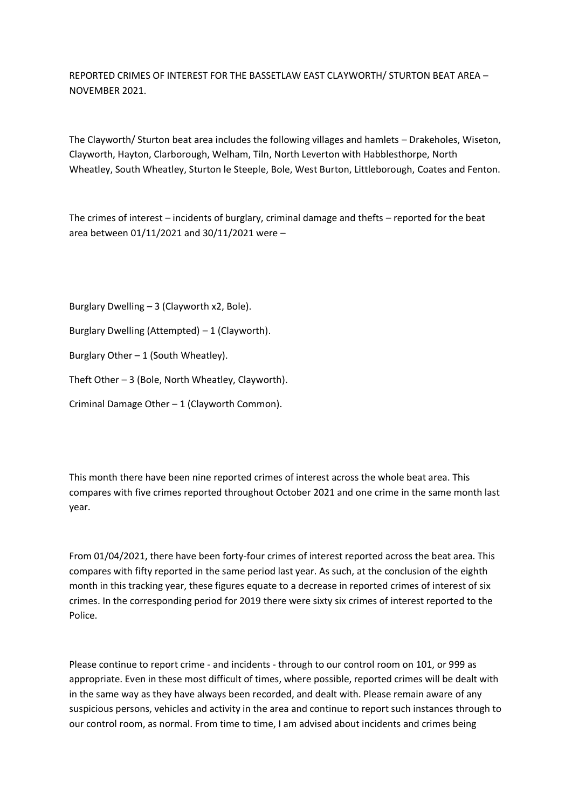REPORTED CRIMES OF INTEREST FOR THE BASSETLAW EAST CLAYWORTH/ STURTON BEAT AREA – NOVEMBER 2021.

The Clayworth/ Sturton beat area includes the following villages and hamlets – Drakeholes, Wiseton, Clayworth, Hayton, Clarborough, Welham, Tiln, North Leverton with Habblesthorpe, North Wheatley, South Wheatley, Sturton le Steeple, Bole, West Burton, Littleborough, Coates and Fenton.

The crimes of interest – incidents of burglary, criminal damage and thefts – reported for the beat area between 01/11/2021 and 30/11/2021 were –

Burglary Dwelling – 3 (Clayworth x2, Bole). Burglary Dwelling (Attempted) – 1 (Clayworth). Burglary Other  $-1$  (South Wheatley). Theft Other – 3 (Bole, North Wheatley, Clayworth). Criminal Damage Other – 1 (Clayworth Common).

This month there have been nine reported crimes of interest across the whole beat area. This compares with five crimes reported throughout October 2021 and one crime in the same month last year.

From 01/04/2021, there have been forty-four crimes of interest reported across the beat area. This compares with fifty reported in the same period last year. As such, at the conclusion of the eighth month in this tracking year, these figures equate to a decrease in reported crimes of interest of six crimes. In the corresponding period for 2019 there were sixty six crimes of interest reported to the Police.

Please continue to report crime - and incidents - through to our control room on 101, or 999 as appropriate. Even in these most difficult of times, where possible, reported crimes will be dealt with in the same way as they have always been recorded, and dealt with. Please remain aware of any suspicious persons, vehicles and activity in the area and continue to report such instances through to our control room, as normal. From time to time, I am advised about incidents and crimes being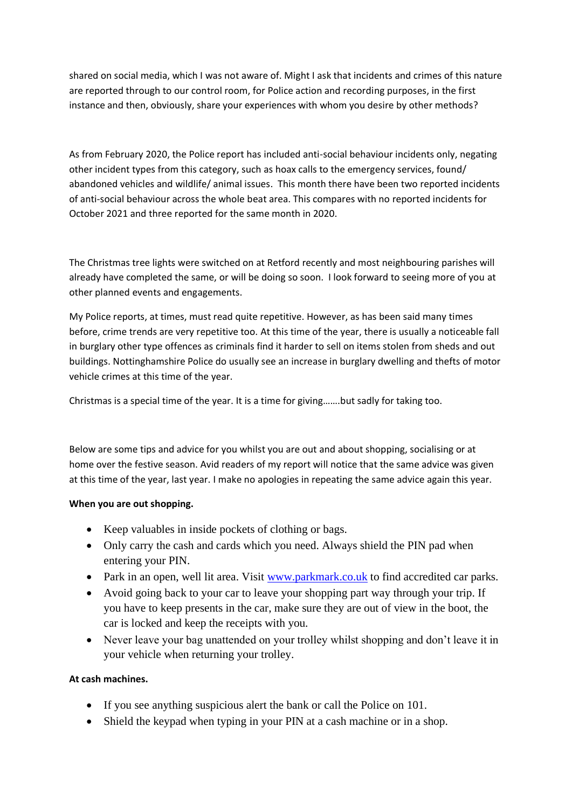shared on social media, which I was not aware of. Might I ask that incidents and crimes of this nature are reported through to our control room, for Police action and recording purposes, in the first instance and then, obviously, share your experiences with whom you desire by other methods?

As from February 2020, the Police report has included anti-social behaviour incidents only, negating other incident types from this category, such as hoax calls to the emergency services, found/ abandoned vehicles and wildlife/ animal issues. This month there have been two reported incidents of anti-social behaviour across the whole beat area. This compares with no reported incidents for October 2021 and three reported for the same month in 2020.

The Christmas tree lights were switched on at Retford recently and most neighbouring parishes will already have completed the same, or will be doing so soon. I look forward to seeing more of you at other planned events and engagements.

My Police reports, at times, must read quite repetitive. However, as has been said many times before, crime trends are very repetitive too. At this time of the year, there is usually a noticeable fall in burglary other type offences as criminals find it harder to sell on items stolen from sheds and out buildings. Nottinghamshire Police do usually see an increase in burglary dwelling and thefts of motor vehicle crimes at this time of the year.

Christmas is a special time of the year. It is a time for giving…….but sadly for taking too.

Below are some tips and advice for you whilst you are out and about shopping, socialising or at home over the festive season. Avid readers of my report will notice that the same advice was given at this time of the year, last year. I make no apologies in repeating the same advice again this year.

## **When you are out shopping.**

- Keep valuables in inside pockets of clothing or bags.
- Only carry the cash and cards which you need. Always shield the PIN pad when entering your PIN.
- Park in an open, well lit area. Visit [www.parkmark.co.uk](about:blank) to find accredited car parks.
- Avoid going back to your car to leave your shopping part way through your trip. If you have to keep presents in the car, make sure they are out of view in the boot, the car is locked and keep the receipts with you.
- Never leave your bag unattended on your trolley whilst shopping and don't leave it in your vehicle when returning your trolley.

## **At cash machines.**

- If you see anything suspicious alert the bank or call the Police on 101.
- Shield the keypad when typing in your PIN at a cash machine or in a shop.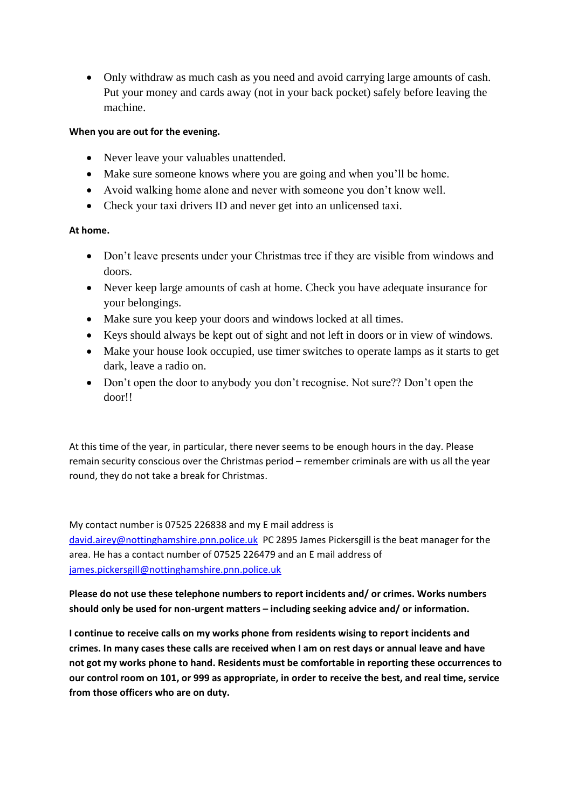• Only withdraw as much cash as you need and avoid carrying large amounts of cash. Put your money and cards away (not in your back pocket) safely before leaving the machine.

## **When you are out for the evening.**

- Never leave your valuables unattended.
- Make sure someone knows where you are going and when you'll be home.
- Avoid walking home alone and never with someone you don't know well.
- Check your taxi drivers ID and never get into an unlicensed taxi.

## **At home.**

- Don't leave presents under your Christmas tree if they are visible from windows and doors.
- Never keep large amounts of cash at home. Check you have adequate insurance for your belongings.
- Make sure you keep your doors and windows locked at all times.
- Keys should always be kept out of sight and not left in doors or in view of windows.
- Make your house look occupied, use timer switches to operate lamps as it starts to get dark, leave a radio on.
- Don't open the door to anybody you don't recognise. Not sure?? Don't open the door!!

At this time of the year, in particular, there never seems to be enough hours in the day. Please remain security conscious over the Christmas period – remember criminals are with us all the year round, they do not take a break for Christmas.

My contact number is 07525 226838 and my E mail address is [david.airey@nottinghamshire.pnn.police.uk](about:blank) PC 2895 James Pickersgill is the beat manager for the area. He has a contact number of 07525 226479 and an E mail address of [james.pickersgill@nottinghamshire.pnn.police.uk](about:blank)

**Please do not use these telephone numbers to report incidents and/ or crimes. Works numbers should only be used for non-urgent matters – including seeking advice and/ or information.**

**I continue to receive calls on my works phone from residents wising to report incidents and crimes. In many cases these calls are received when I am on rest days or annual leave and have not got my works phone to hand. Residents must be comfortable in reporting these occurrences to our control room on 101, or 999 as appropriate, in order to receive the best, and real time, service from those officers who are on duty.**